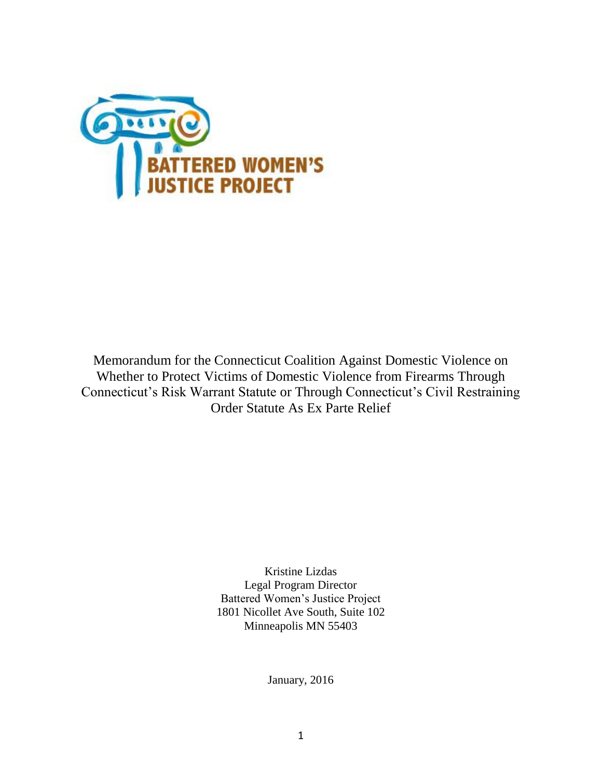

Memorandum for the Connecticut Coalition Against Domestic Violence on Whether to Protect Victims of Domestic Violence from Firearms Through Connecticut's Risk Warrant Statute or Through Connecticut's Civil Restraining Order Statute As Ex Parte Relief

> Kristine Lizdas Legal Program Director Battered Women's Justice Project 1801 Nicollet Ave South, Suite 102 Minneapolis MN 55403

> > January, 2016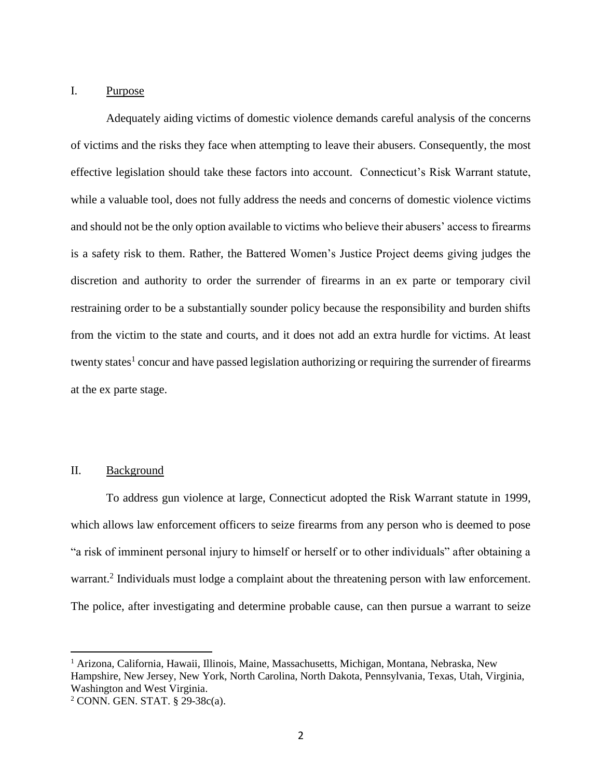## I. Purpose

Adequately aiding victims of domestic violence demands careful analysis of the concerns of victims and the risks they face when attempting to leave their abusers. Consequently, the most effective legislation should take these factors into account. Connecticut's Risk Warrant statute, while a valuable tool, does not fully address the needs and concerns of domestic violence victims and should not be the only option available to victims who believe their abusers' access to firearms is a safety risk to them. Rather, the Battered Women's Justice Project deems giving judges the discretion and authority to order the surrender of firearms in an ex parte or temporary civil restraining order to be a substantially sounder policy because the responsibility and burden shifts from the victim to the state and courts, and it does not add an extra hurdle for victims. At least twenty states<sup>1</sup> concur and have passed legislation authorizing or requiring the surrender of firearms at the ex parte stage.

## II. Background

 $\overline{a}$ 

To address gun violence at large, Connecticut adopted the Risk Warrant statute in 1999, which allows law enforcement officers to seize firearms from any person who is deemed to pose "a risk of imminent personal injury to himself or herself or to other individuals" after obtaining a warrant.<sup>2</sup> Individuals must lodge a complaint about the threatening person with law enforcement. The police, after investigating and determine probable cause, can then pursue a warrant to seize

<sup>1</sup> Arizona, California, Hawaii, Illinois, Maine, Massachusetts, Michigan, Montana, Nebraska, New Hampshire, New Jersey, New York, North Carolina, North Dakota, Pennsylvania, Texas, Utah, Virginia, Washington and West Virginia.

<sup>2</sup> CONN. GEN. STAT. § 29-38c(a).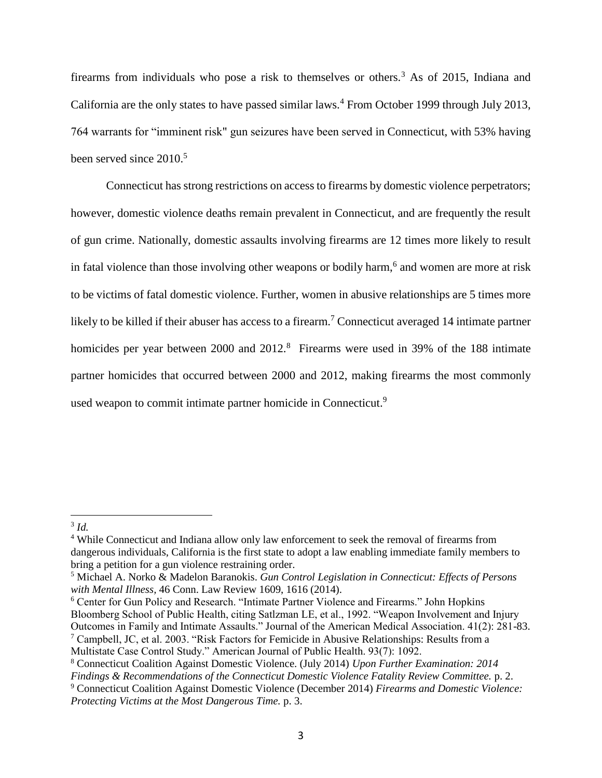firearms from individuals who pose a risk to themselves or others.<sup>3</sup> As of 2015, Indiana and California are the only states to have passed similar laws.<sup>4</sup> From October 1999 through July 2013, 764 warrants for "imminent risk" gun seizures have been served in Connecticut, with 53% having been served since  $2010$ <sup>5</sup>

Connecticut has strong restrictions on access to firearms by domestic violence perpetrators; however, domestic violence deaths remain prevalent in Connecticut, and are frequently the result of gun crime. Nationally, domestic assaults involving firearms are 12 times more likely to result in fatal violence than those involving other weapons or bodily harm,<sup>6</sup> and women are more at risk to be victims of fatal domestic violence. Further, women in abusive relationships are 5 times more likely to be killed if their abuser has access to a firearm.<sup>7</sup> Connecticut averaged 14 intimate partner homicides per year between 2000 and 2012.<sup>8</sup> Firearms were used in 39% of the 188 intimate partner homicides that occurred between 2000 and 2012, making firearms the most commonly used weapon to commit intimate partner homicide in Connecticut.<sup>9</sup>

 $\overline{a}$ 

<sup>6</sup> Center for Gun Policy and Research. "Intimate Partner Violence and Firearms." John Hopkins Bloomberg School of Public Health, citing Satlzman LE, et al., 1992. "Weapon Involvement and Injury Outcomes in Family and Intimate Assaults." Journal of the American Medical Association. 41(2): 281-83. <sup>7</sup> Campbell, JC, et al. 2003. "Risk Factors for Femicide in Abusive Relationships: Results from a

<sup>3</sup> *Id.*

<sup>4</sup> While Connecticut and Indiana allow only law enforcement to seek the removal of firearms from dangerous individuals, California is the first state to adopt a law enabling immediate family members to bring a petition for a gun violence restraining order.

<sup>5</sup> Michael A. Norko & Madelon Baranokis. *Gun Control Legislation in Connecticut: Effects of Persons with Mental Illness,* 46 Conn. Law Review 1609, 1616 (2014).

Multistate Case Control Study." American Journal of Public Health. 93(7): 1092.

<sup>8</sup> Connecticut Coalition Against Domestic Violence. (July 2014) *Upon Further Examination: 2014* 

*Findings & Recommendations of the Connecticut Domestic Violence Fatality Review Committee.* p. 2.

<sup>9</sup> Connecticut Coalition Against Domestic Violence (December 2014) *Firearms and Domestic Violence: Protecting Victims at the Most Dangerous Time.* p. 3.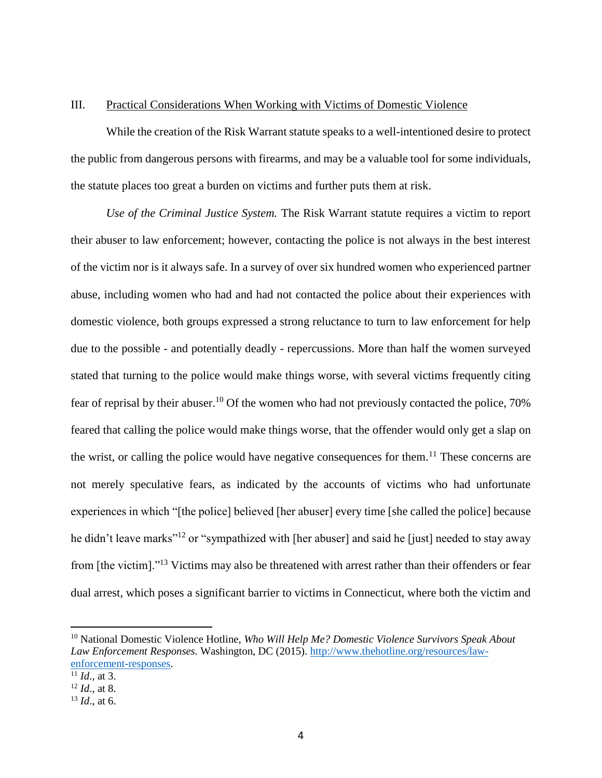## III. Practical Considerations When Working with Victims of Domestic Violence

While the creation of the Risk Warrant statute speaks to a well-intentioned desire to protect the public from dangerous persons with firearms, and may be a valuable tool for some individuals, the statute places too great a burden on victims and further puts them at risk.

*Use of the Criminal Justice System.* The Risk Warrant statute requires a victim to report their abuser to law enforcement; however, contacting the police is not always in the best interest of the victim nor is it always safe. In a survey of over six hundred women who experienced partner abuse, including women who had and had not contacted the police about their experiences with domestic violence, both groups expressed a strong reluctance to turn to law enforcement for help due to the possible - and potentially deadly - repercussions. More than half the women surveyed stated that turning to the police would make things worse, with several victims frequently citing fear of reprisal by their abuser.<sup>10</sup> Of the women who had not previously contacted the police, 70% feared that calling the police would make things worse, that the offender would only get a slap on the wrist, or calling the police would have negative consequences for them.<sup>11</sup> These concerns are not merely speculative fears, as indicated by the accounts of victims who had unfortunate experiences in which "[the police] believed [her abuser] every time [she called the police] because he didn't leave marks<sup>"12</sup> or "sympathized with [her abuser] and said he [just] needed to stay away from [the victim]."<sup>13</sup> Victims may also be threatened with arrest rather than their offenders or fear dual arrest, which poses a significant barrier to victims in Connecticut, where both the victim and

 $\overline{a}$ 

<sup>10</sup> National Domestic Violence Hotline, *Who Will Help Me? Domestic Violence Survivors Speak About Law Enforcement Responses.* Washington, DC (2015). [http://www.thehotline.org/resources/law](http://www.thehotline.org/resources/law-enforcement-responses)[enforcement-responses.](http://www.thehotline.org/resources/law-enforcement-responses)

 $\overline{^{11}Id}$ . at 3.

<sup>12</sup> *Id*., at 8.

<sup>13</sup> *Id*., at 6.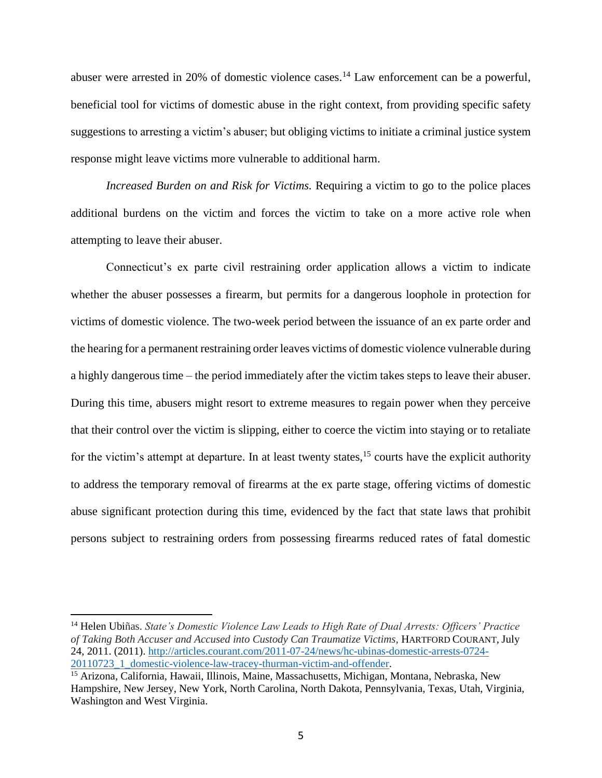abuser were arrested in 20% of domestic violence cases.<sup>14</sup> Law enforcement can be a powerful, beneficial tool for victims of domestic abuse in the right context, from providing specific safety suggestions to arresting a victim's abuser; but obliging victims to initiate a criminal justice system response might leave victims more vulnerable to additional harm.

*Increased Burden on and Risk for Victims.* Requiring a victim to go to the police places additional burdens on the victim and forces the victim to take on a more active role when attempting to leave their abuser.

Connecticut's ex parte civil restraining order application allows a victim to indicate whether the abuser possesses a firearm, but permits for a dangerous loophole in protection for victims of domestic violence. The two-week period between the issuance of an ex parte order and the hearing for a permanent restraining order leaves victims of domestic violence vulnerable during a highly dangerous time – the period immediately after the victim takes steps to leave their abuser. During this time, abusers might resort to extreme measures to regain power when they perceive that their control over the victim is slipping, either to coerce the victim into staying or to retaliate for the victim's attempt at departure. In at least twenty states,  $15$  courts have the explicit authority to address the temporary removal of firearms at the ex parte stage, offering victims of domestic abuse significant protection during this time, evidenced by the fact that state laws that prohibit persons subject to restraining orders from possessing firearms reduced rates of fatal domestic

 $\overline{a}$ 

<sup>14</sup> Helen Ubiñas. *State's Domestic Violence Law Leads to High Rate of Dual Arrests: Officers' Practice of Taking Both Accuser and Accused into Custody Can Traumatize Victims,* HARTFORD COURANT, July 24, 2011. (2011). [http://articles.courant.com/2011-07-24/news/hc-ubinas-domestic-arrests-0724-](http://articles.courant.com/2011-07-24/news/hc-ubinas-domestic-arrests-0724-20110723_1_domestic-violence-law-tracey-thurman-victim-and-offender) [20110723\\_1\\_domestic-violence-law-tracey-thurman-victim-and-offender.](http://articles.courant.com/2011-07-24/news/hc-ubinas-domestic-arrests-0724-20110723_1_domestic-violence-law-tracey-thurman-victim-and-offender)

<sup>15</sup> Arizona, California, Hawaii, Illinois, Maine, Massachusetts, Michigan, Montana, Nebraska, New Hampshire, New Jersey, New York, North Carolina, North Dakota, Pennsylvania, Texas, Utah, Virginia, Washington and West Virginia.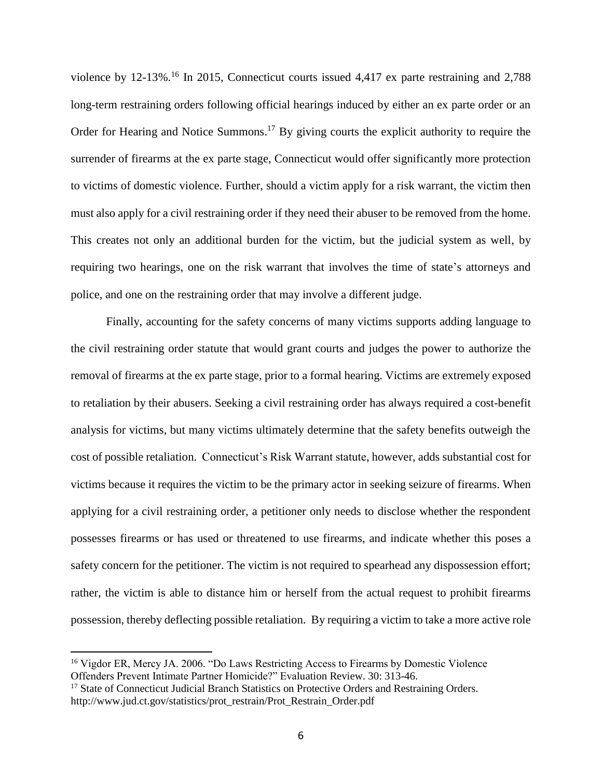violence by 12-13%. <sup>16</sup> In 2015, Connecticut courts issued 4,417 ex parte restraining and 2,788 long-term restraining orders following official hearings induced by either an ex parte order or an Order for Hearing and Notice Summons.<sup>17</sup> By giving courts the explicit authority to require the surrender of firearms at the ex parte stage, Connecticut would offer significantly more protection to victims of domestic violence. Further, should a victim apply for a risk warrant, the victim then must also apply for a civil restraining order if they need their abuser to be removed from the home. This creates not only an additional burden for the victim, but the judicial system as well, by requiring two hearings, one on the risk warrant that involves the time of state's attorneys and police, and one on the restraining order that may involve a different judge.

Finally, accounting for the safety concerns of many victims supports adding language to the civil restraining order statute that would grant courts and judges the power to authorize the removal of firearms at the ex parte stage, prior to a formal hearing. Victims are extremely exposed to retaliation by their abusers. Seeking a civil restraining order has always required a cost-benefit analysis for victims, but many victims ultimately determine that the safety benefits outweigh the cost of possible retaliation. Connecticut's Risk Warrant statute, however, adds substantial cost for victims because it requires the victim to be the primary actor in seeking seizure of firearms. When applying for a civil restraining order, a petitioner only needs to disclose whether the respondent possesses firearms or has used or threatened to use firearms, and indicate whether this poses a safety concern for the petitioner. The victim is not required to spearhead any dispossession effort; rather, the victim is able to distance him or herself from the actual request to prohibit firearms possession, thereby deflecting possible retaliation. By requiring a victim to take a more active role

 $\overline{a}$ 

<sup>&</sup>lt;sup>16</sup> Vigdor ER, Mercy JA. 2006. "Do Laws Restricting Access to Firearms by Domestic Violence Offenders Prevent Intimate Partner Homicide?" Evaluation Review. 30: 313-46.

<sup>&</sup>lt;sup>17</sup> State of Connecticut Judicial Branch Statistics on Protective Orders and Restraining Orders. http://www.jud.ct.gov/statistics/prot\_restrain/Prot\_Restrain\_Order.pdf